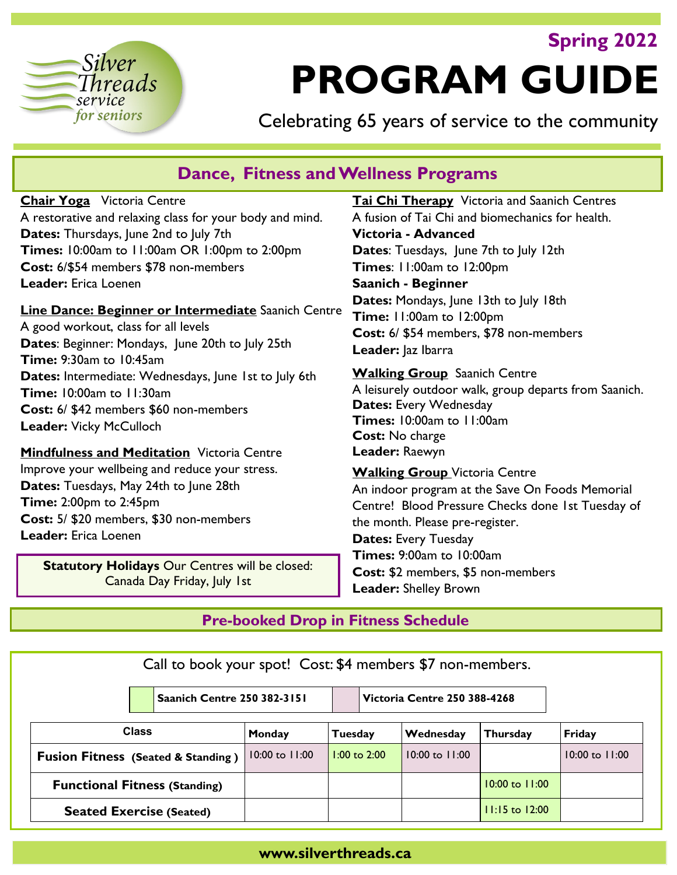# **Spring 2022**



# **PROGRAM GUIDE**

Celebrating 65 years of service to the community

# **Dance, Fitness and Wellness Programs**

**Chair Yoga** Victoria Centre A restorative and relaxing class for your body and mind. **Dates:** Thursdays, June 2nd to July 7th **Times:** 10:00am to 11:00am OR 1:00pm to 2:00pm **Cost:** 6/\$54 members \$78 non-members **Leader:** Erica Loenen

**Line Dance: Beginner or Intermediate** Saanich Centre A good workout, class for all levels **Dates**: Beginner: Mondays, June 20th to July 25th **Time:** 9:30am to 10:45am **Dates:** Intermediate: Wednesdays, June 1st to July 6th **Time:** 10:00am to 11:30am **Cost:** 6/ \$42 members \$60 non-members **Leader:** Vicky McCulloch

**Mindfulness and Meditation** Victoria Centre Improve your wellbeing and reduce your stress. **Dates:** Tuesdays, May 24th to June 28th **Time:** 2:00pm to 2:45pm **Cost:** 5/ \$20 members, \$30 non-members **Leader:** Erica Loenen

**Statutory Holidays** Our Centres will be closed: Canada Day Friday, July 1st

**Tai Chi Therapy** Victoria and Saanich Centres A fusion of Tai Chi and biomechanics for health. **Victoria - Advanced Dates**: Tuesdays, June 7th to July 12th **Times**: 11:00am to 12:00pm **Saanich - Beginner Dates:** Mondays, June 13th to July 18th **Time:** 11:00am to 12:00pm **Cost:** 6/ \$54 members, \$78 non-members **Leader:** Jaz Ibarra

**Walking Group** Saanich Centre A leisurely outdoor walk, group departs from Saanich. **Dates: Every Wednesday Times:** 10:00am to 11:00am **Cost:** No charge **Leader:** Raewyn

**Walking Group** Victoria Centre An indoor program at the Save On Foods Memorial Centre! Blood Pressure Checks done 1st Tuesday of the month. Please pre-register. **Dates:** Every Tuesday **Times:** 9:00am to 10:00am **Cost:** \$2 members, \$5 non-members **Leader:** Shelley Brown

## **Pre-booked Drop in Fitness Schedule**

Call to book your spot! Cost: \$4 members \$7 non-members. **Saanich Centre 250 382-3151 Victoria Centre 250 388-4268 Class Monday Tuesday Wednesday Thursday Friday Fusion Fitness (Seated & Standing )** 10:00 to 11:00 10:00 to 2:00 10:00 to 11:00 10:00 to 11:00 to 11:00 **Functional Fitness (Standing)** 10:00 to 11:00 **Seated Exercise (Seated)** 11:15 to 12:00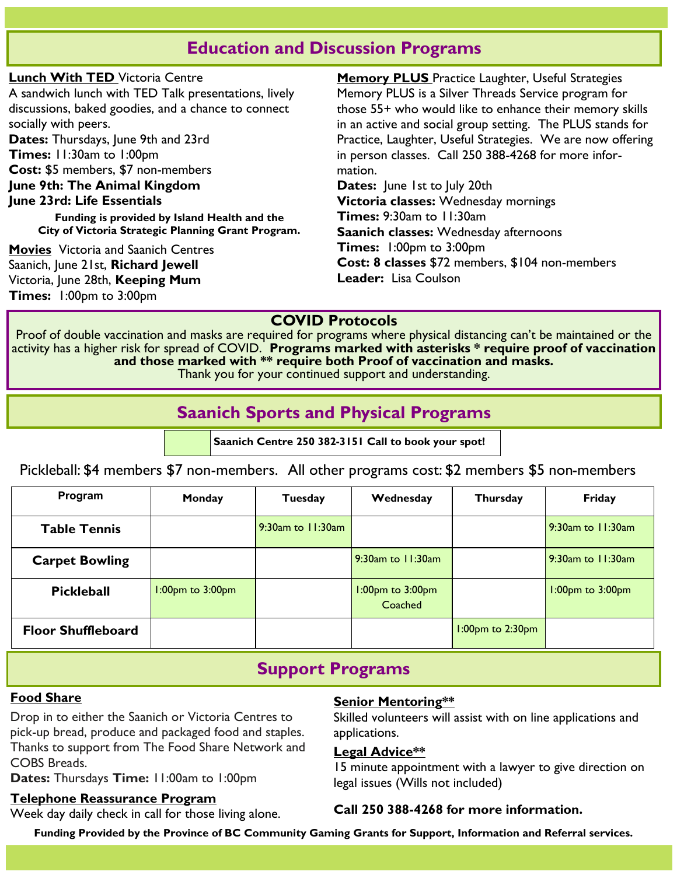# **Education and Discussion Programs**

**Lunch With TED** Victoria Centre A sandwich lunch with TED Talk presentations, lively discussions, baked goodies, and a chance to connect socially with peers. Dates: Thursdays, June 9th and 23rd **Times:** 11:30am to 1:00pm **Cost:** \$5 members, \$7 non-members **June 9th: The Animal Kingdom June 23rd: Life Essentials Funding is provided by Island Health and the City of Victoria Strategic Planning Grant Program. Movies** Victoria and Saanich Centres Saanich, June 21st, **Richard Jewell** Victoria, June 28th, **Keeping Mum Times:** 1:00pm to 3:00pm mation.

**Memory PLUS** Practice Laughter, Useful Strategies Memory PLUS is a Silver Threads Service program for those 55+ who would like to enhance their memory skills in an active and social group setting. The PLUS stands for Practice, Laughter, Useful Strategies. We are now offering in person classes. Call 250 388-4268 for more infor-**Dates:** June 1st to July 20th **Victoria classes:** Wednesday mornings **Times:** 9:30am to 11:30am **Saanich classes:** Wednesday afternoons **Times:** 1:00pm to 3:00pm **Cost: 8 classes** \$72 members, \$104 non-members

**Leader:** Lisa Coulson

## **COVID Protocols**

Proof of double vaccination and masks are required for programs where physical distancing can't be maintained or the activity has a higher risk for spread of COVID. **Programs marked with asterisks \* require proof of vaccination and those marked with \*\* require both Proof of vaccination and masks.**  Thank you for your continued support and understanding.

# **Saanich Sports and Physical Programs**

**Saanich Centre 250 382-3151 Call to book your spot!**

Pickleball: \$4 members \$7 non-members. All other programs cost: \$2 members \$5 non-members

| Program                   | Monday                 | Tuesday                | Wednesday                         | <b>Thursday</b>        | Friday                 |
|---------------------------|------------------------|------------------------|-----------------------------------|------------------------|------------------------|
| <b>Table Tennis</b>       |                        | $9:30$ am to $1:30$ am |                                   |                        | 9:30am to 11:30am      |
| <b>Carpet Bowling</b>     |                        |                        | 9:30am to 11:30am                 |                        | 9:30am to 11:30am      |
| <b>Pickleball</b>         | $1:00$ pm to $3:00$ pm |                        | $1:00$ pm to $3:00$ pm<br>Coached |                        | $1:00$ pm to $3:00$ pm |
| <b>Floor Shuffleboard</b> |                        |                        |                                   | $1:00$ pm to $2:30$ pm |                        |

# **Support Programs**

## **Food Share**

Drop in to either the Saanich or Victoria Centres to pick-up bread, produce and packaged food and staples. Thanks to support from The Food Share Network and COBS Breads.

**Dates:** Thursdays **Time:** 11:00am to 1:00pm

## **Telephone Reassurance Program**

Week day daily check in call for those living alone.

## **Senior Mentoring\*\***

Skilled volunteers will assist with on line applications and applications.

## **Legal Advice\*\***

15 minute appointment with a lawyer to give direction on legal issues (Wills not included)

## **Call 250 388-4268 for more information.**

**Funding Provided by the Province of BC Community Gaming Grants for Support, Information and Referral services.**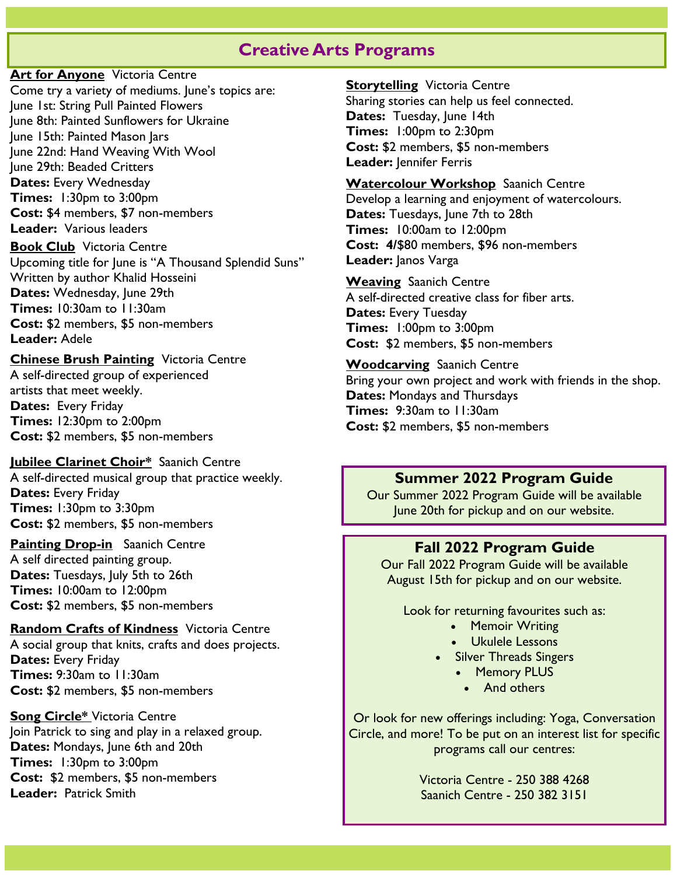## **Creative Arts Programs**

**Art for Anyone** Victoria Centre Come try a variety of mediums. June's topics are: June 1st: String Pull Painted Flowers June 8th: Painted Sunflowers for Ukraine June 15th: Painted Mason Jars June 22nd: Hand Weaving With Wool June 29th: Beaded Critters **Dates: Every Wednesday Times:** 1:30pm to 3:00pm **Cost:** \$4 members, \$7 non-members **Leader:** Various leaders

**Book Club** Victoria Centre Upcoming title for June is "A Thousand Splendid Suns" Written by author Khalid Hosseini **Dates:** Wednesday, June 29th **Times:** 10:30am to 11:30am **Cost:** \$2 members, \$5 non-members **Leader:** Adele

#### **Chinese Brush Painting** Victoria Centre

A self-directed group of experienced artists that meet weekly. **Dates:** Every Friday **Times:** 12:30pm to 2:00pm **Cost:** \$2 members, \$5 non-members

#### **Jubilee Clarinet Choir\*** Saanich Centre

A self-directed musical group that practice weekly. **Dates:** Every Friday **Times:** 1:30pm to 3:30pm **Cost:** \$2 members, \$5 non-members

**Painting Drop-in** Saanich Centre A self directed painting group. **Dates:** Tuesdays, July 5th to 26th **Times:** 10:00am to 12:00pm **Cost:** \$2 members, \$5 non-members

**Random Crafts of Kindness** Victoria Centre

A social group that knits, crafts and does projects. **Dates:** Every Friday **Times:** 9:30am to 11:30am **Cost:** \$2 members, \$5 non-members

**Song Circle\*** Victoria Centre Join Patrick to sing and play in a relaxed group. **Dates:** Mondays, June 6th and 20th **Times:** 1:30pm to 3:00pm **Cost:** \$2 members, \$5 non-members **Leader:** Patrick Smith

**Storytelling** Victoria Centre Sharing stories can help us feel connected. Dates: Tuesday, June 14th **Times:** 1:00pm to 2:30pm **Cost:** \$2 members, \$5 non-members Leader: Jennifer Ferris

**Watercolour Workshop** Saanich Centre Develop a learning and enjoyment of watercolours. Dates: Tuesdays, June 7th to 28th **Times:** 10:00am to 12:00pm **Cost: 4/**\$80 members, \$96 non-members **Leader:** Janos Varga

**Weaving** Saanich Centre A self-directed creative class for fiber arts. **Dates:** Every Tuesday **Times:** 1:00pm to 3:00pm **Cost:** \$2 members, \$5 non-members

**Woodcarving** Saanich Centre Bring your own project and work with friends in the shop. **Dates:** Mondays and Thursdays **Times:** 9:30am to 11:30am **Cost:** \$2 members, \$5 non-members

## **Summer 2022 Program Guide**

Our Summer 2022 Program Guide will be available June 20th for pickup and on our website.

#### **Fall 2022 Program Guide**

Our Fall 2022 Program Guide will be available August 15th for pickup and on our website.

Look for returning favourites such as:

- Memoir Writing
- Ukulele Lessons
- Silver Threads Singers
	- Memory PLUS
		- And others

Or look for new offerings including: Yoga, Conversation Circle, and more! To be put on an interest list for specific programs call our centres:

> Victoria Centre - 250 388 4268 Saanich Centre - 250 382 3151